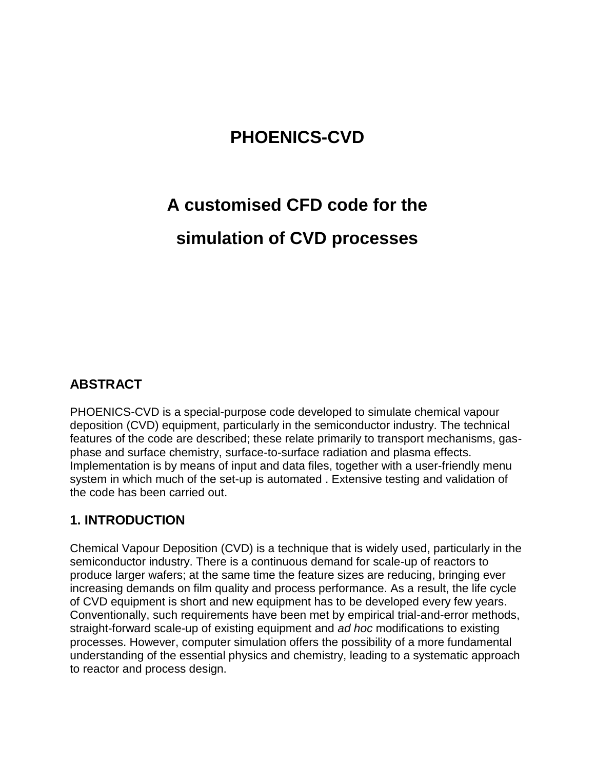# **PHOENICS-CVD**

# **A customised CFD code for the**

# **simulation of CVD processes**

# **ABSTRACT**

PHOENICS-CVD is a special-purpose code developed to simulate chemical vapour deposition (CVD) equipment, particularly in the semiconductor industry. The technical features of the code are described; these relate primarily to transport mechanisms, gasphase and surface chemistry, surface-to-surface radiation and plasma effects. Implementation is by means of input and data files, together with a user-friendly menu system in which much of the set-up is automated . Extensive testing and validation of the code has been carried out.

# **1. INTRODUCTION**

Chemical Vapour Deposition (CVD) is a technique that is widely used, particularly in the semiconductor industry. There is a continuous demand for scale-up of reactors to produce larger wafers; at the same time the feature sizes are reducing, bringing ever increasing demands on film quality and process performance. As a result, the life cycle of CVD equipment is short and new equipment has to be developed every few years. Conventionally, such requirements have been met by empirical trial-and-error methods, straight-forward scale-up of existing equipment and *ad hoc* modifications to existing processes. However, computer simulation offers the possibility of a more fundamental understanding of the essential physics and chemistry, leading to a systematic approach to reactor and process design.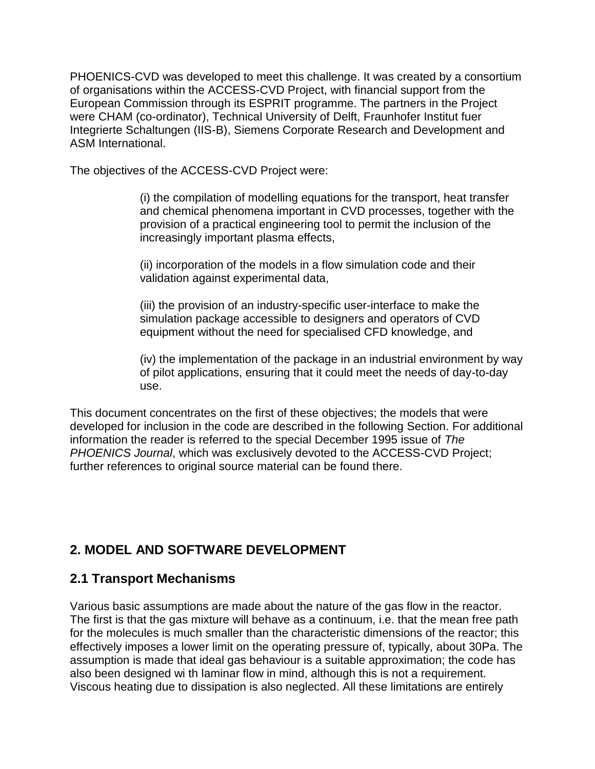PHOENICS-CVD was developed to meet this challenge. It was created by a consortium of organisations within the ACCESS-CVD Project, with financial support from the European Commission through its ESPRIT programme. The partners in the Project were CHAM (co-ordinator), Technical University of Delft, Fraunhofer Institut fuer Integrierte Schaltungen (IIS-B), Siemens Corporate Research and Development and ASM International.

The objectives of the ACCESS-CVD Project were:

(i) the compilation of modelling equations for the transport, heat transfer and chemical phenomena important in CVD processes, together with the provision of a practical engineering tool to permit the inclusion of the increasingly important plasma effects,

(ii) incorporation of the models in a flow simulation code and their validation against experimental data,

(iii) the provision of an industry-specific user-interface to make the simulation package accessible to designers and operators of CVD equipment without the need for specialised CFD knowledge, and

(iv) the implementation of the package in an industrial environment by way of pilot applications, ensuring that it could meet the needs of day-to-day use.

This document concentrates on the first of these objectives; the models that were developed for inclusion in the code are described in the following Section. For additional information the reader is referred to the special December 1995 issue of *The PHOENICS Journal*, which was exclusively devoted to the ACCESS-CVD Project; further references to original source material can be found there.

# **2. MODEL AND SOFTWARE DEVELOPMENT**

# **2.1 Transport Mechanisms**

Various basic assumptions are made about the nature of the gas flow in the reactor. The first is that the gas mixture will behave as a continuum, i.e. that the mean free path for the molecules is much smaller than the characteristic dimensions of the reactor; this effectively imposes a lower limit on the operating pressure of, typically, about 30Pa. The assumption is made that ideal gas behaviour is a suitable approximation; the code has also been designed wi th laminar flow in mind, although this is not a requirement. Viscous heating due to dissipation is also neglected. All these limitations are entirely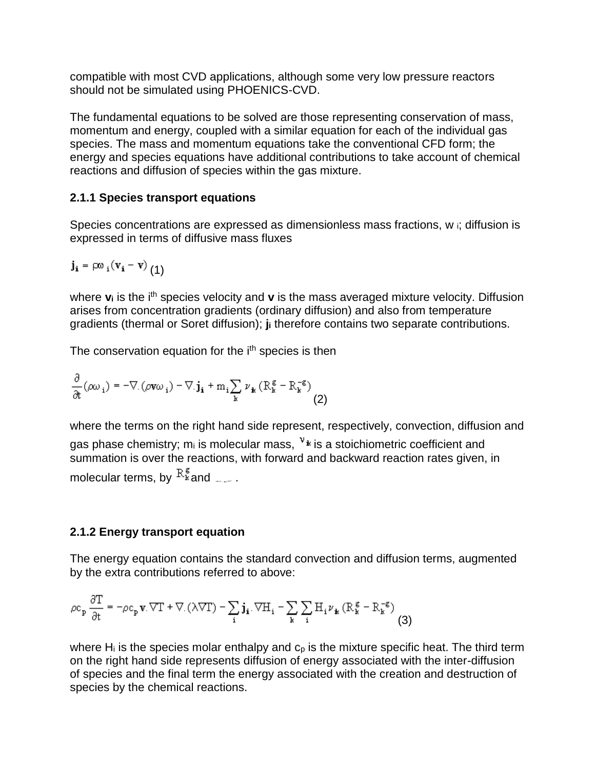compatible with most CVD applications, although some very low pressure reactors should not be simulated using PHOENICS-CVD.

The fundamental equations to be solved are those representing conservation of mass, momentum and energy, coupled with a similar equation for each of the individual gas species. The mass and momentum equations take the conventional CFD form; the energy and species equations have additional contributions to take account of chemical reactions and diffusion of species within the gas mixture.

## **2.1.1 Species transport equations**

Species concentrations are expressed as dimensionless mass fractions, w i; diffusion is expressed in terms of diffusive mass fluxes

$$
\boldsymbol{j_i} = \rho \omega_i (\boldsymbol{v_i} - \boldsymbol{v}) \left( 1 \right)
$$

where **v**<sub>i</sub> is the i<sup>th</sup> species velocity and **v** is the mass averaged mixture velocity. Diffusion arises from concentration gradients (ordinary diffusion) and also from temperature gradients (thermal or Soret diffusion); **j<sup>i</sup>** therefore contains two separate contributions.

The conservation equation for the i<sup>th</sup> species is then

$$
\frac{\partial}{\partial t}(\rho\omega_i) = -\nabla \left( \rho v \omega_i \right) - \nabla \cdot \mathbf{j_i} + m_i \sum_{\mathbf{k}} \nu_{\mathbf{k}} \left( R_{\mathbf{k}}^{\mathbf{g}} - R_{\mathbf{k}}^{-\mathbf{g}} \right)
$$
(2)

where the terms on the right hand side represent, respectively, convection, diffusion and gas phase chemistry; m<sub>i</sub> is molecular mass,  $v_{\text{A}}$  is a stoichiometric coefficient and summation is over the reactions, with forward and backward reaction rates given, in molecular terms, by  $R_{\texttt{k}}^{\texttt{g}}$  and  $\mathbf{f}$ .

# **2.1.2 Energy transport equation**

The energy equation contains the standard convection and diffusion terms, augmented by the extra contributions referred to above:

$$
\rho c_p \frac{\partial T}{\partial t} = -\rho c_p \mathbf{v}.\nabla T + \nabla \cdot (\lambda \nabla T) - \sum_i \mathbf{j}_i.\nabla H_i - \sum_k \sum_i H_i \nu_k (R_k^g - R_k^{-g})
$$
\n(3)

where H<sub>i</sub> is the species molar enthalpy and  $c<sub>p</sub>$  is the mixture specific heat. The third term on the right hand side represents diffusion of energy associated with the inter-diffusion of species and the final term the energy associated with the creation and destruction of species by the chemical reactions.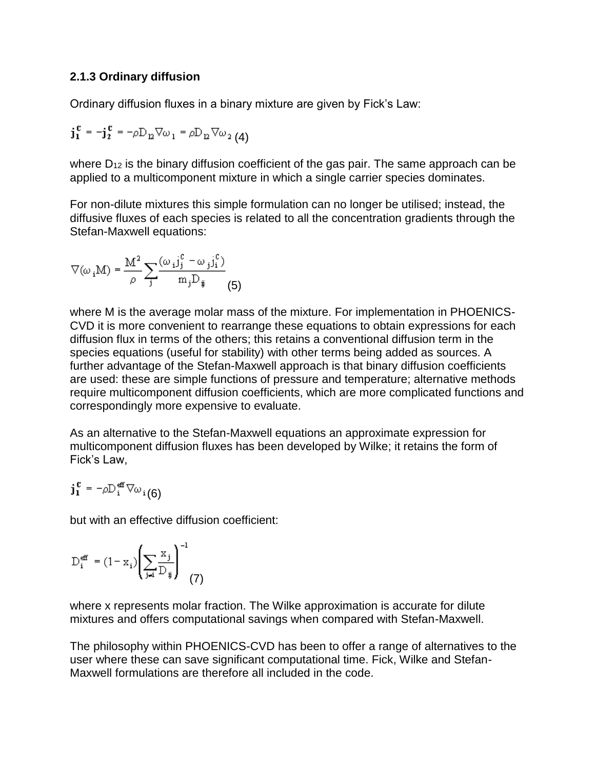## **2.1.3 Ordinary diffusion**

Ordinary diffusion fluxes in a binary mixture are given by Fick's Law:

$$
\mathbf{j}_1^c = -\mathbf{j}_2^c = -\rho \mathbf{D}_{12} \nabla \omega_1 = \rho \mathbf{D}_{12} \nabla \omega_2
$$
 (4)

where  $D_{12}$  is the binary diffusion coefficient of the gas pair. The same approach can be applied to a multicomponent mixture in which a single carrier species dominates.

For non-dilute mixtures this simple formulation can no longer be utilised; instead, the diffusive fluxes of each species is related to all the concentration gradients through the Stefan-Maxwell equations:

$$
\nabla(\omega_i \mathbf{M}) = \frac{\mathbf{M}^2}{\rho} \sum_j \frac{(\omega_i \mathbf{j}_j^c - \omega_j \mathbf{j}_i^c)}{m_j D_{ij}} \tag{5}
$$

where M is the average molar mass of the mixture. For implementation in PHOENICS-CVD it is more convenient to rearrange these equations to obtain expressions for each diffusion flux in terms of the others; this retains a conventional diffusion term in the species equations (useful for stability) with other terms being added as sources. A further advantage of the Stefan-Maxwell approach is that binary diffusion coefficients are used: these are simple functions of pressure and temperature; alternative methods require multicomponent diffusion coefficients, which are more complicated functions and correspondingly more expensive to evaluate.

As an alternative to the Stefan-Maxwell equations an approximate expression for multicomponent diffusion fluxes has been developed by Wilke; it retains the form of Fick's Law,

$$
\mathbf{j_1^c} = -\rho \mathbb{D}_\mathbf{i}^\text{eff} \nabla \omega_\mathbf{i} (6)
$$

but with an effective diffusion coefficient:

$$
\mathbf{D}_{\mathbf{i}}^{\mathbf{eff}} = (1 - \mathbf{x}_{\mathbf{i}}) \left( \sum_{\mathbf{j} \neq \mathbf{i}} \frac{\mathbf{x}_{\mathbf{j}}}{\mathbf{D}_{\mathbf{ij}}} \right)^{-1} \tag{7}
$$

where x represents molar fraction. The Wilke approximation is accurate for dilute mixtures and offers computational savings when compared with Stefan-Maxwell.

The philosophy within PHOENICS-CVD has been to offer a range of alternatives to the user where these can save significant computational time. Fick, Wilke and Stefan-Maxwell formulations are therefore all included in the code.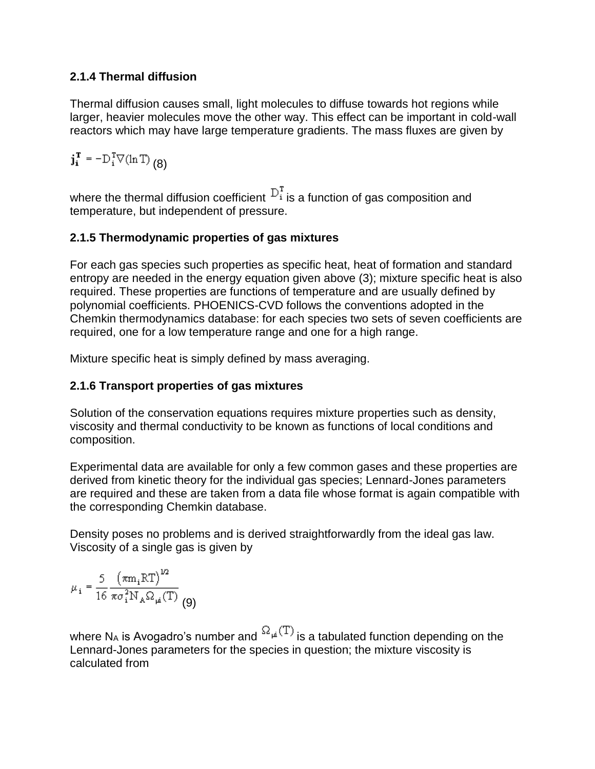# **2.1.4 Thermal diffusion**

Thermal diffusion causes small, light molecules to diffuse towards hot regions while larger, heavier molecules move the other way. This effect can be important in cold-wall reactors which may have large temperature gradients. The mass fluxes are given by

 $\mathbf{j_i}^{\mathrm{T}} = -\mathbf{D}_i^{\mathrm{T}} \nabla(\ln \mathrm{T})$  (8)

where the thermal diffusion coefficient  $D_i^T$  is a function of gas composition and temperature, but independent of pressure.

# **2.1.5 Thermodynamic properties of gas mixtures**

For each gas species such properties as specific heat, heat of formation and standard entropy are needed in the energy equation given above (3); mixture specific heat is also required. These properties are functions of temperature and are usually defined by polynomial coefficients. PHOENICS-CVD follows the conventions adopted in the Chemkin thermodynamics database: for each species two sets of seven coefficients are required, one for a low temperature range and one for a high range.

Mixture specific heat is simply defined by mass averaging.

# **2.1.6 Transport properties of gas mixtures**

Solution of the conservation equations requires mixture properties such as density, viscosity and thermal conductivity to be known as functions of local conditions and composition.

Experimental data are available for only a few common gases and these properties are derived from kinetic theory for the individual gas species; Lennard-Jones parameters are required and these are taken from a data file whose format is again compatible with the corresponding Chemkin database.

Density poses no problems and is derived straightforwardly from the ideal gas law. Viscosity of a single gas is given by

$$
\mu_{i} = \frac{5}{16} \frac{\left(\pi m_{i} RT\right)^{1/2}}{\pi \sigma_{i}^{2} N_{A} \Omega_{\mu}(T)}
$$
(9)

where N<sub>A</sub> is Avogadro's number and  ${}^{\Omega_{\mu}(T)}$  is a tabulated function depending on the Lennard-Jones parameters for the species in question; the mixture viscosity is calculated from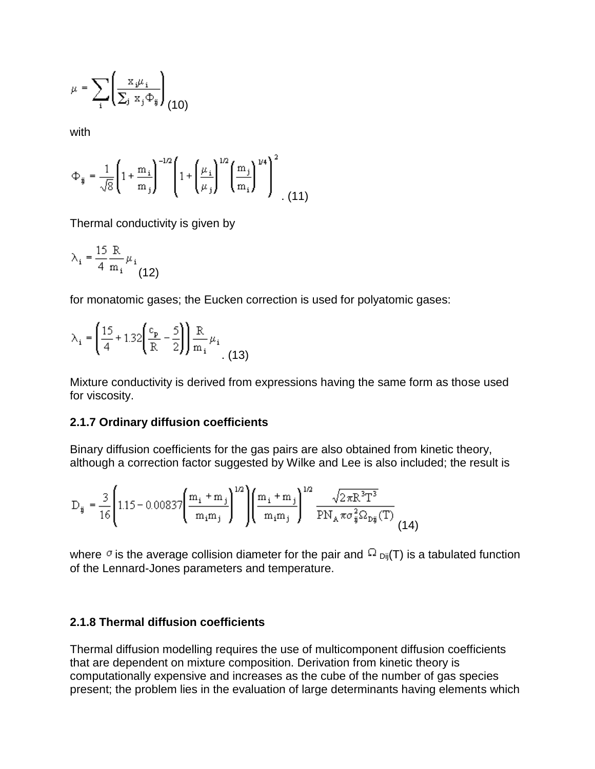$$
\mu = \sum_{\mathbf{i}} \left( \frac{\mathbf{x}_{\mathbf{i}} \mu_{\mathbf{i}}}{\sum_{\mathbf{j}} \mathbf{x}_{\mathbf{j}} \Phi_{\mathbf{ij}}} \right)_{(10)}
$$

with

$$
\Phi_{ij} = \frac{1}{\sqrt{8}} \left( 1 + \frac{m_i}{m_j} \right)^{-1/2} \left( 1 + \left( \frac{\mu_i}{\mu_j} \right)^{1/2} \left( \frac{m_j}{m_i} \right)^{1/4} \right)^2
$$
 (11)

Thermal conductivity is given by

$$
\lambda_i = \frac{15 \text{ R}}{4 \text{ m}_i} \mu_i
$$
 (12)

for monatomic gases; the Eucken correction is used for polyatomic gases:

$$
\lambda_{i} = \left(\frac{15}{4} + 1.32\left(\frac{c_{p}}{R} - \frac{5}{2}\right)\right) \frac{R}{m_{i}} \mu_{i}
$$
(13)

Mixture conductivity is derived from expressions having the same form as those used for viscosity.

#### **2.1.7 Ordinary diffusion coefficients**

Binary diffusion coefficients for the gas pairs are also obtained from kinetic theory, although a correction factor suggested by Wilke and Lee is also included; the result is

$$
D_{ij} = \frac{3}{16} \left( 1.15 - 0.00837 \left( \frac{m_i + m_j}{m_i m_j} \right)^{1/2} \right) \left( \frac{m_i + m_j}{m_i m_j} \right)^{1/2} \frac{\sqrt{2 \pi R^3 T^3}}{PN_A \pi \sigma_{ij}^2 \Omega_{Dij}(T)} \tag{14}
$$

where  $\sigma$  is the average collision diameter for the pair and  $\Omega_{\text{Dij}}(T)$  is a tabulated function of the Lennard-Jones parameters and temperature.

#### **2.1.8 Thermal diffusion coefficients**

Thermal diffusion modelling requires the use of multicomponent diffusion coefficients that are dependent on mixture composition. Derivation from kinetic theory is computationally expensive and increases as the cube of the number of gas species present; the problem lies in the evaluation of large determinants having elements which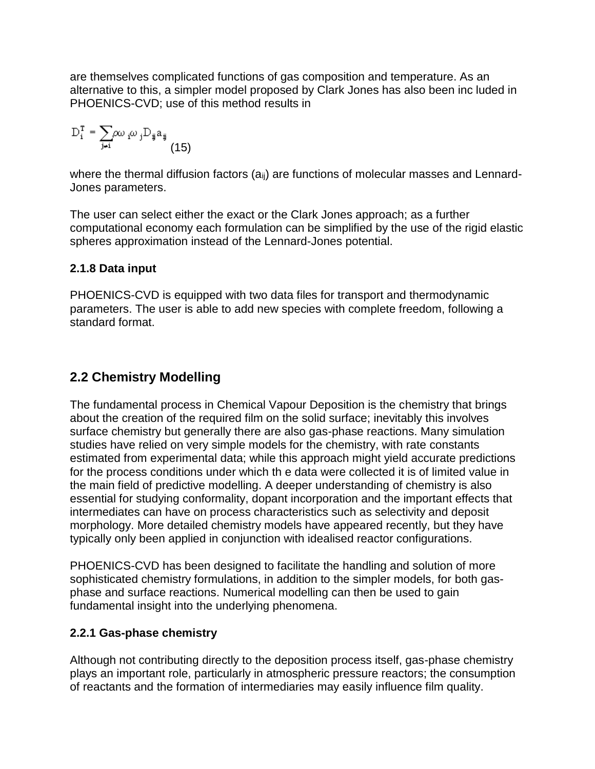are themselves complicated functions of gas composition and temperature. As an alternative to this, a simpler model proposed by Clark Jones has also been inc luded in PHOENICS-CVD; use of this method results in

$$
\mathbf{D}_{i}^{\mathrm{T}} = \sum_{\mathbf{j} \neq i} \infty_{i} \omega_{j} \mathbf{D}_{\mathbf{ij}} \mathbf{a}_{\mathbf{ij}} \tag{15}
$$

where the thermal diffusion factors (a<sub>ii</sub>) are functions of molecular masses and Lennard-Jones parameters.

The user can select either the exact or the Clark Jones approach; as a further computational economy each formulation can be simplified by the use of the rigid elastic spheres approximation instead of the Lennard-Jones potential.

## **2.1.8 Data input**

PHOENICS-CVD is equipped with two data files for transport and thermodynamic parameters. The user is able to add new species with complete freedom, following a standard format.

# **2.2 Chemistry Modelling**

The fundamental process in Chemical Vapour Deposition is the chemistry that brings about the creation of the required film on the solid surface; inevitably this involves surface chemistry but generally there are also gas-phase reactions. Many simulation studies have relied on very simple models for the chemistry, with rate constants estimated from experimental data; while this approach might yield accurate predictions for the process conditions under which th e data were collected it is of limited value in the main field of predictive modelling. A deeper understanding of chemistry is also essential for studying conformality, dopant incorporation and the important effects that intermediates can have on process characteristics such as selectivity and deposit morphology. More detailed chemistry models have appeared recently, but they have typically only been applied in conjunction with idealised reactor configurations.

PHOENICS-CVD has been designed to facilitate the handling and solution of more sophisticated chemistry formulations, in addition to the simpler models, for both gasphase and surface reactions. Numerical modelling can then be used to gain fundamental insight into the underlying phenomena.

# **2.2.1 Gas-phase chemistry**

Although not contributing directly to the deposition process itself, gas-phase chemistry plays an important role, particularly in atmospheric pressure reactors; the consumption of reactants and the formation of intermediaries may easily influence film quality.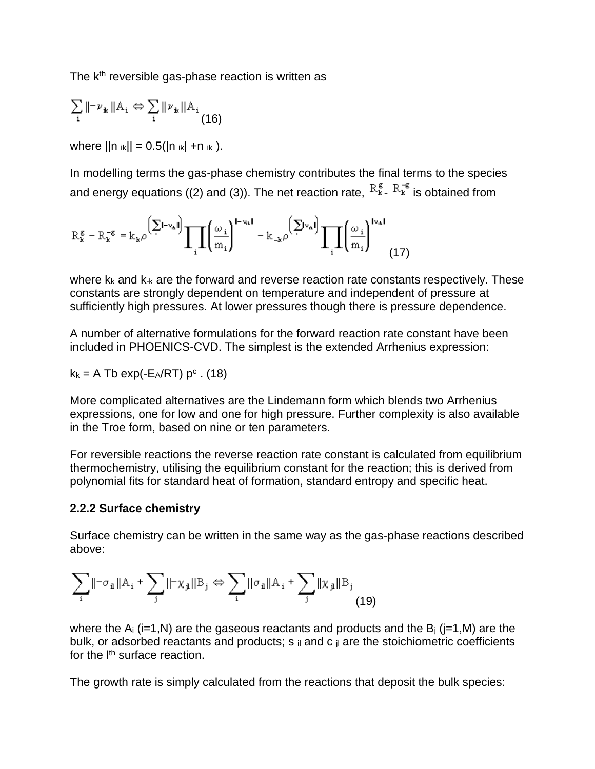The  $k<sup>th</sup>$  reversible gas-phase reaction is written as

$$
\sum_{i} \|\neg \nu_{\mathbf{k}} \| A_i \Leftrightarrow \sum_{i} \|\nu_{\mathbf{k}} \| A_i
$$
\n(16)

where  $||n_{ik}|| = 0.5(|n_{ik}| + n_{ik})$ .

In modelling terms the gas-phase chemistry contributes the final terms to the species and energy equations ((2) and (3)). The net reaction rate,  $R_{\kappa}^{\epsilon}$   $R_{\kappa}^{\epsilon}$  is obtained from

$$
R_{k}^{\epsilon} - R_{k}^{-\epsilon} = k_{k} \rho \left(\sum_{i} L_{i} w_{i}^{i}\right) \prod_{i} \left(\frac{\omega_{i}}{m_{i}}\right)^{L_{i} w_{i} I} - k_{-k} \rho \left(\sum_{i} w_{i}^{i}\right) \prod_{i} \left(\frac{\omega_{i}}{m_{i}}\right)^{I_{i} w_{i} I} \tag{17}
$$

where  $k_k$  and  $k_k$  are the forward and reverse reaction rate constants respectively. These constants are strongly dependent on temperature and independent of pressure at sufficiently high pressures. At lower pressures though there is pressure dependence.

A number of alternative formulations for the forward reaction rate constant have been included in PHOENICS-CVD. The simplest is the extended Arrhenius expression:

$$
k_k = A \text{ Tb} \exp(-E_A/RT) p^c \cdot (18)
$$

More complicated alternatives are the Lindemann form which blends two Arrhenius expressions, one for low and one for high pressure. Further complexity is also available in the Troe form, based on nine or ten parameters.

For reversible reactions the reverse reaction rate constant is calculated from equilibrium thermochemistry, utilising the equilibrium constant for the reaction; this is derived from polynomial fits for standard heat of formation, standard entropy and specific heat.

#### **2.2.2 Surface chemistry**

Surface chemistry can be written in the same way as the gas-phase reactions described above:

$$
\sum_{i} ||-\sigma_{\mathbf{1}}||A_{i} + \sum_{j} ||-\chi_{\mathbf{1}}||B_{j} \Leftrightarrow \sum_{i} ||\sigma_{\mathbf{1}}||A_{i} + \sum_{j} ||\chi_{\mathbf{1}}||B_{j}
$$
(19)

where the  $A_i$  (i=1,N) are the gaseous reactants and products and the  $B_i$  (i=1,M) are the bulk, or adsorbed reactants and products;  $s$  ii and c ii are the stoichiometric coefficients for the l<sup>th</sup> surface reaction.

The growth rate is simply calculated from the reactions that deposit the bulk species: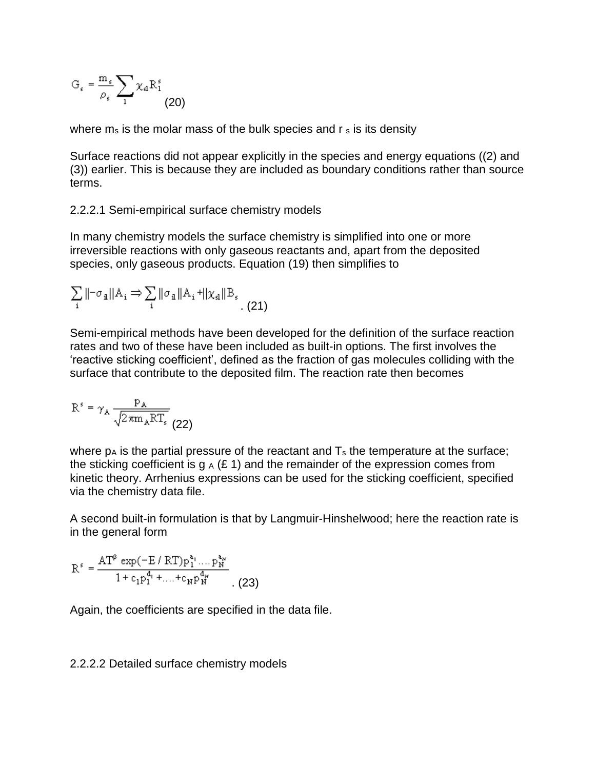$$
G_s = \frac{m_s}{\rho_s} \sum_1 \chi_a R_1^s
$$
 (20)

where  $m_s$  is the molar mass of the bulk species and  $r_s$  is its density

Surface reactions did not appear explicitly in the species and energy equations ((2) and (3)) earlier. This is because they are included as boundary conditions rather than source terms.

2.2.2.1 Semi-empirical surface chemistry models

In many chemistry models the surface chemistry is simplified into one or more irreversible reactions with only gaseous reactants and, apart from the deposited species, only gaseous products. Equation (19) then simplifies to

$$
\sum_{i} \|\neg \sigma_{\mathbf{a}}\| A_{i} \Rightarrow \sum_{i} \|\sigma_{\mathbf{a}}\| A_{i} + \|\chi_{\mathbf{a}}\| B_{s}.
$$
 (21)

Semi-empirical methods have been developed for the definition of the surface reaction rates and two of these have been included as built-in options. The first involves the 'reactive sticking coefficient', defined as the fraction of gas molecules colliding with the surface that contribute to the deposited film. The reaction rate then becomes

$$
R^s = \gamma_A \frac{P_A}{\sqrt{2\pi m_A RT_s}}
$$
(22)

where  $p_A$  is the partial pressure of the reactant and  $T_s$  the temperature at the surface; the sticking coefficient is g  $_A$  (£ 1) and the remainder of the expression comes from kinetic theory. Arrhenius expressions can be used for the sticking coefficient, specified via the chemistry data file.

A second built-in formulation is that by Langmuir-Hinshelwood; here the reaction rate is in the general form

$$
R^{s} = \frac{AT^{\beta} \exp(-E/RT)p_1^{a_1} \dots p_N^{a_N}}{1 + c_1 p_1^{a_1} + \dots + c_N p_N^{a_N}}.
$$
 (23)

Again, the coefficients are specified in the data file.

#### 2.2.2.2 Detailed surface chemistry models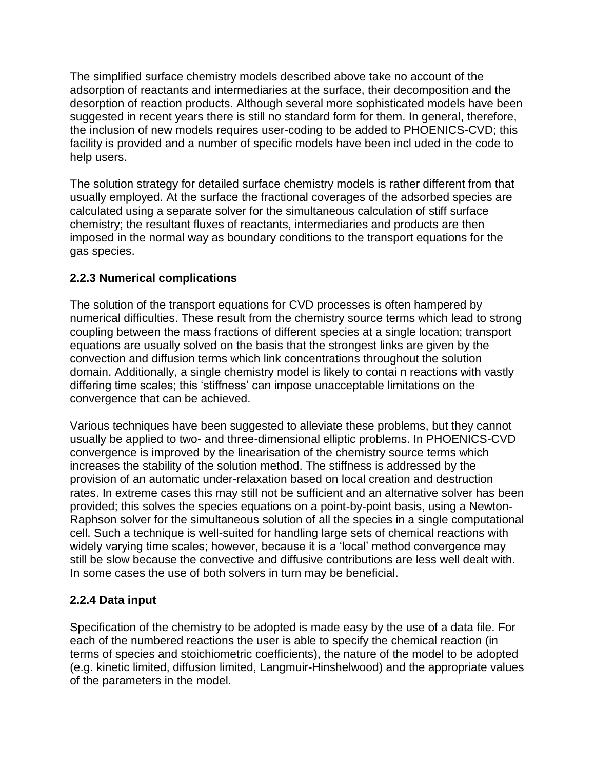The simplified surface chemistry models described above take no account of the adsorption of reactants and intermediaries at the surface, their decomposition and the desorption of reaction products. Although several more sophisticated models have been suggested in recent years there is still no standard form for them. In general, therefore, the inclusion of new models requires user-coding to be added to PHOENICS-CVD; this facility is provided and a number of specific models have been incl uded in the code to help users.

The solution strategy for detailed surface chemistry models is rather different from that usually employed. At the surface the fractional coverages of the adsorbed species are calculated using a separate solver for the simultaneous calculation of stiff surface chemistry; the resultant fluxes of reactants, intermediaries and products are then imposed in the normal way as boundary conditions to the transport equations for the gas species.

# **2.2.3 Numerical complications**

The solution of the transport equations for CVD processes is often hampered by numerical difficulties. These result from the chemistry source terms which lead to strong coupling between the mass fractions of different species at a single location; transport equations are usually solved on the basis that the strongest links are given by the convection and diffusion terms which link concentrations throughout the solution domain. Additionally, a single chemistry model is likely to contai n reactions with vastly differing time scales; this 'stiffness' can impose unacceptable limitations on the convergence that can be achieved.

Various techniques have been suggested to alleviate these problems, but they cannot usually be applied to two- and three-dimensional elliptic problems. In PHOENICS-CVD convergence is improved by the linearisation of the chemistry source terms which increases the stability of the solution method. The stiffness is addressed by the provision of an automatic under-relaxation based on local creation and destruction rates. In extreme cases this may still not be sufficient and an alternative solver has been provided; this solves the species equations on a point-by-point basis, using a Newton-Raphson solver for the simultaneous solution of all the species in a single computational cell. Such a technique is well-suited for handling large sets of chemical reactions with widely varying time scales; however, because it is a 'local' method convergence may still be slow because the convective and diffusive contributions are less well dealt with. In some cases the use of both solvers in turn may be beneficial.

# **2.2.4 Data input**

Specification of the chemistry to be adopted is made easy by the use of a data file. For each of the numbered reactions the user is able to specify the chemical reaction (in terms of species and stoichiometric coefficients), the nature of the model to be adopted (e.g. kinetic limited, diffusion limited, Langmuir-Hinshelwood) and the appropriate values of the parameters in the model.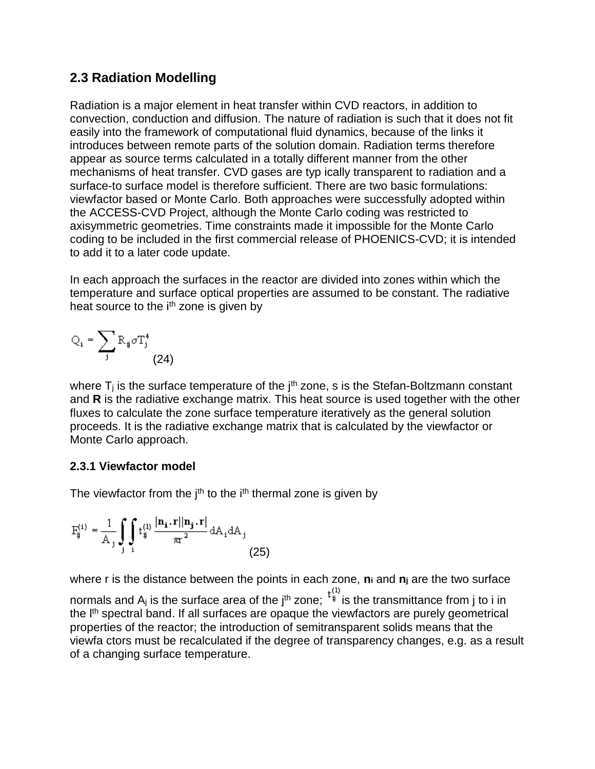# **2.3 Radiation Modelling**

Radiation is a major element in heat transfer within CVD reactors, in addition to convection, conduction and diffusion. The nature of radiation is such that it does not fit easily into the framework of computational fluid dynamics, because of the links it introduces between remote parts of the solution domain. Radiation terms therefore appear as source terms calculated in a totally different manner from the other mechanisms of heat transfer. CVD gases are typ ically transparent to radiation and a surface-to surface model is therefore sufficient. There are two basic formulations: viewfactor based or Monte Carlo. Both approaches were successfully adopted within the ACCESS-CVD Project, although the Monte Carlo coding was restricted to axisymmetric geometries. Time constraints made it impossible for the Monte Carlo coding to be included in the first commercial release of PHOENICS-CVD; it is intended to add it to a later code update.

In each approach the surfaces in the reactor are divided into zones within which the temperature and surface optical properties are assumed to be constant. The radiative heat source to the i<sup>th</sup> zone is given by

$$
Q_i = \sum_j R_{ij} \sigma T_j^4
$$
 (24)

where  $T_i$  is the surface temperature of the  $i<sup>th</sup>$  zone, s is the Stefan-Boltzmann constant and **R** is the radiative exchange matrix. This heat source is used together with the other fluxes to calculate the zone surface temperature iteratively as the general solution proceeds. It is the radiative exchange matrix that is calculated by the viewfactor or Monte Carlo approach.

# **2.3.1 Viewfactor model**

The viewfactor from the  $i<sup>th</sup>$  to the  $i<sup>th</sup>$  thermal zone is given by

$$
\mathbf{F}_{ij}^{(i)} = \frac{1}{\mathbf{A}_j} \int_{\mathbf{j}} \int_{\mathbf{i}} \mathbf{t}_{ij}^{(1)} \frac{|\mathbf{n}_i \cdot \mathbf{r}| |\mathbf{n}_j \cdot \mathbf{r}|}{\pi \mathbf{r}^2} d\mathbf{A}_i d\mathbf{A}_j
$$
(25)

where r is the distance between the points in each zone, **n<sup>i</sup>** and **n<sup>j</sup>** are the two surface normals and  $A_j$  is the surface area of the j<sup>th</sup> zone;  $t_j^{(1)}$  is the transmittance from j to i in the  $I<sup>th</sup>$  spectral band. If all surfaces are opaque the viewfactors are purely geometrical properties of the reactor; the introduction of semitransparent solids means that the viewfa ctors must be recalculated if the degree of transparency changes, e.g. as a result of a changing surface temperature.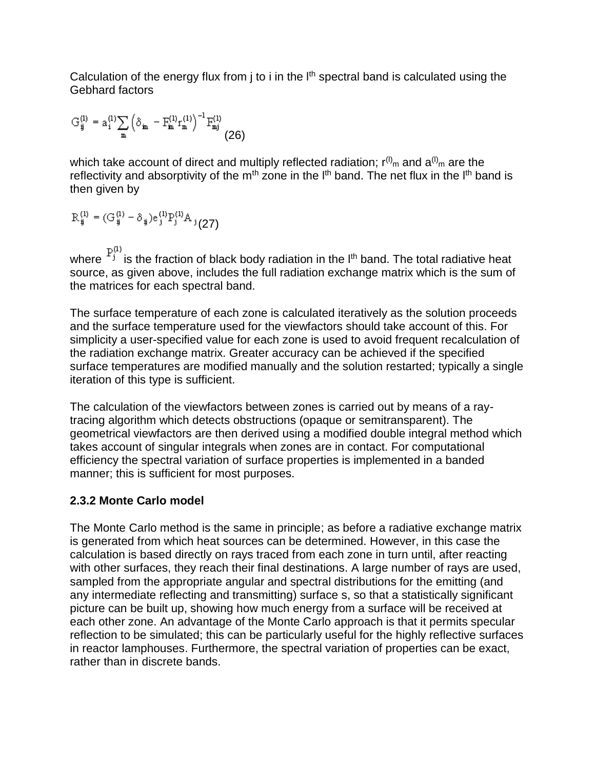Calculation of the energy flux from  $j$  to  $i$  in the  $I<sup>th</sup>$  spectral band is calculated using the Gebhard factors

$$
G_{ij}^{(l)} = a_i^{(l)} \underset{m}{\sum} \left(\delta_{ijm} - F_{ijm}^{(l)} r_{m}^{(l)}\right)^{-1} F_{mj}^{(l)} \tag{26}
$$

which take account of direct and multiply reflected radiation;  $r^{(l)}$ <sub>m</sub> and  $a^{(l)}$ <sub>m</sub> are the reflectivity and absorptivity of the  $m<sup>th</sup>$  zone in the  $l<sup>th</sup>$  band. The net flux in the  $l<sup>th</sup>$  band is then given by

$$
\mathrm{R}_{ij}^{(1)} = (\mathrm{G}_{ij}^{(1)} - \delta_{ij}) \mathrm{e}_{j}^{(1)} \mathrm{P}_{j}^{(1)} \mathrm{A}_{j} \left(27\right)
$$

where  $P_j^{(1)}$  is the fraction of black body radiation in the l<sup>th</sup> band. The total radiative heat source, as given above, includes the full radiation exchange matrix which is the sum of the matrices for each spectral band.

The surface temperature of each zone is calculated iteratively as the solution proceeds and the surface temperature used for the viewfactors should take account of this. For simplicity a user-specified value for each zone is used to avoid frequent recalculation of the radiation exchange matrix. Greater accuracy can be achieved if the specified surface temperatures are modified manually and the solution restarted; typically a single iteration of this type is sufficient.

The calculation of the viewfactors between zones is carried out by means of a raytracing algorithm which detects obstructions (opaque or semitransparent). The geometrical viewfactors are then derived using a modified double integral method which takes account of singular integrals when zones are in contact. For computational efficiency the spectral variation of surface properties is implemented in a banded manner; this is sufficient for most purposes.

# **2.3.2 Monte Carlo model**

The Monte Carlo method is the same in principle; as before a radiative exchange matrix is generated from which heat sources can be determined. However, in this case the calculation is based directly on rays traced from each zone in turn until, after reacting with other surfaces, they reach their final destinations. A large number of rays are used, sampled from the appropriate angular and spectral distributions for the emitting (and any intermediate reflecting and transmitting) surface s, so that a statistically significant picture can be built up, showing how much energy from a surface will be received at each other zone. An advantage of the Monte Carlo approach is that it permits specular reflection to be simulated; this can be particularly useful for the highly reflective surfaces in reactor lamphouses. Furthermore, the spectral variation of properties can be exact, rather than in discrete bands.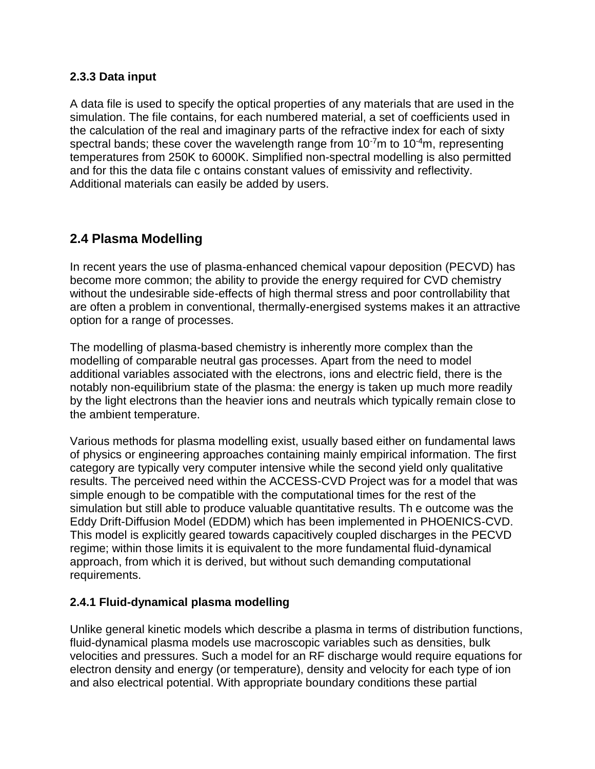## **2.3.3 Data input**

A data file is used to specify the optical properties of any materials that are used in the simulation. The file contains, for each numbered material, a set of coefficients used in the calculation of the real and imaginary parts of the refractive index for each of sixty spectral bands; these cover the wavelength range from  $10^{-7}$ m to  $10^{-4}$ m, representing temperatures from 250K to 6000K. Simplified non-spectral modelling is also permitted and for this the data file c ontains constant values of emissivity and reflectivity. Additional materials can easily be added by users.

# **2.4 Plasma Modelling**

In recent years the use of plasma-enhanced chemical vapour deposition (PECVD) has become more common; the ability to provide the energy required for CVD chemistry without the undesirable side-effects of high thermal stress and poor controllability that are often a problem in conventional, thermally-energised systems makes it an attractive option for a range of processes.

The modelling of plasma-based chemistry is inherently more complex than the modelling of comparable neutral gas processes. Apart from the need to model additional variables associated with the electrons, ions and electric field, there is the notably non-equilibrium state of the plasma: the energy is taken up much more readily by the light electrons than the heavier ions and neutrals which typically remain close to the ambient temperature.

Various methods for plasma modelling exist, usually based either on fundamental laws of physics or engineering approaches containing mainly empirical information. The first category are typically very computer intensive while the second yield only qualitative results. The perceived need within the ACCESS-CVD Project was for a model that was simple enough to be compatible with the computational times for the rest of the simulation but still able to produce valuable quantitative results. Th e outcome was the Eddy Drift-Diffusion Model (EDDM) which has been implemented in PHOENICS-CVD. This model is explicitly geared towards capacitively coupled discharges in the PECVD regime; within those limits it is equivalent to the more fundamental fluid-dynamical approach, from which it is derived, but without such demanding computational requirements.

# **2.4.1 Fluid-dynamical plasma modelling**

Unlike general kinetic models which describe a plasma in terms of distribution functions, fluid-dynamical plasma models use macroscopic variables such as densities, bulk velocities and pressures. Such a model for an RF discharge would require equations for electron density and energy (or temperature), density and velocity for each type of ion and also electrical potential. With appropriate boundary conditions these partial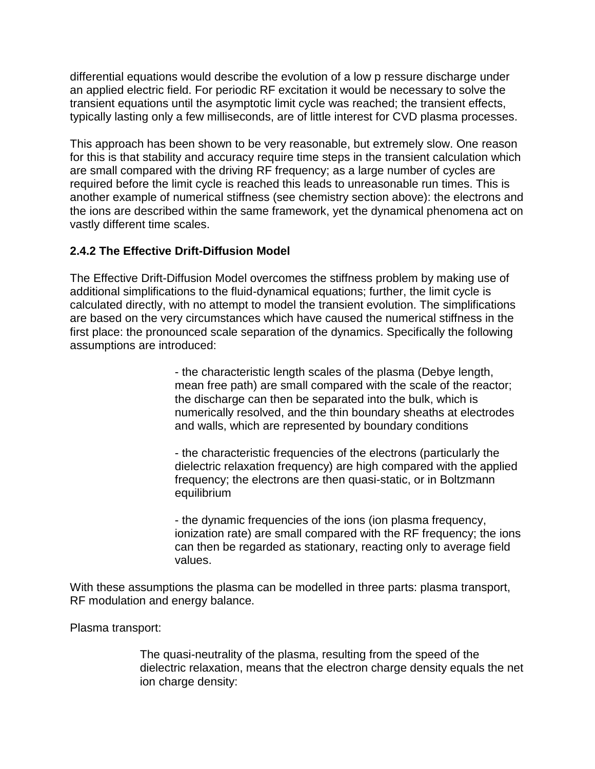differential equations would describe the evolution of a low p ressure discharge under an applied electric field. For periodic RF excitation it would be necessary to solve the transient equations until the asymptotic limit cycle was reached; the transient effects, typically lasting only a few milliseconds, are of little interest for CVD plasma processes.

This approach has been shown to be very reasonable, but extremely slow. One reason for this is that stability and accuracy require time steps in the transient calculation which are small compared with the driving RF frequency; as a large number of cycles are required before the limit cycle is reached this leads to unreasonable run times. This is another example of numerical stiffness (see chemistry section above): the electrons and the ions are described within the same framework, yet the dynamical phenomena act on vastly different time scales.

# **2.4.2 The Effective Drift-Diffusion Model**

The Effective Drift-Diffusion Model overcomes the stiffness problem by making use of additional simplifications to the fluid-dynamical equations; further, the limit cycle is calculated directly, with no attempt to model the transient evolution. The simplifications are based on the very circumstances which have caused the numerical stiffness in the first place: the pronounced scale separation of the dynamics. Specifically the following assumptions are introduced:

> - the characteristic length scales of the plasma (Debye length, mean free path) are small compared with the scale of the reactor; the discharge can then be separated into the bulk, which is numerically resolved, and the thin boundary sheaths at electrodes and walls, which are represented by boundary conditions

- the characteristic frequencies of the electrons (particularly the dielectric relaxation frequency) are high compared with the applied frequency; the electrons are then quasi-static, or in Boltzmann equilibrium

- the dynamic frequencies of the ions (ion plasma frequency, ionization rate) are small compared with the RF frequency; the ions can then be regarded as stationary, reacting only to average field values.

With these assumptions the plasma can be modelled in three parts: plasma transport, RF modulation and energy balance.

Plasma transport:

The quasi-neutrality of the plasma, resulting from the speed of the dielectric relaxation, means that the electron charge density equals the net ion charge density: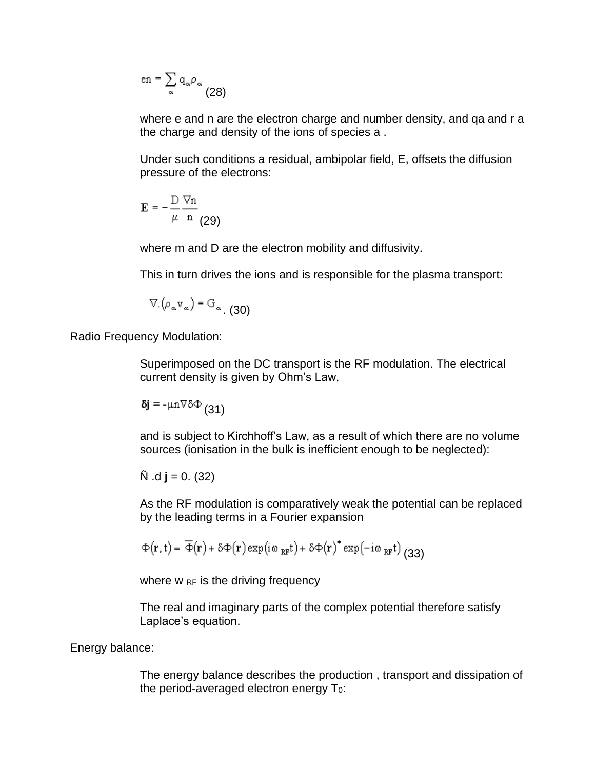$$
\mathsf{en} = \sum_\alpha \mathsf{q}_\alpha \rho_\alpha \qquad \qquad (28)
$$

where e and n are the electron charge and number density, and ga and r a the charge and density of the ions of species a .

Under such conditions a residual, ambipolar field, E, offsets the diffusion pressure of the electrons:

$$
\mathbf{E} = -\frac{\mathbf{D}}{\mu} \frac{\nabla \mathbf{n}}{\mathbf{n}} \frac{1}{(29)}
$$

where m and D are the electron mobility and diffusivity.

This in turn drives the ions and is responsible for the plasma transport:

$$
\nabla \phi_{\alpha} \mathbf{v}_{\alpha} = \mathbf{G}_{\alpha} \tag{30}
$$

Radio Frequency Modulation:

Superimposed on the DC transport is the RF modulation. The electrical current density is given by Ohm's Law,

$$
\delta j = -\mu n \nabla \delta \Phi \left(31\right)
$$

and is subject to Kirchhoff's Law, as a result of which there are no volume sources (ionisation in the bulk is inefficient enough to be neglected):

$$
\tilde{N}
$$
 .d **j** = 0. (32)

As the RF modulation is comparatively weak the potential can be replaced by the leading terms in a Fourier expansion

$$
\Phi(\mathbf{r},t) = \overline{\Phi}(\mathbf{r}) + \delta \Phi(\mathbf{r}) \exp(i \omega_{RF} t) + \delta \Phi(\mathbf{r})^* \exp(-i \omega_{RF} t) \tag{33}
$$

where  $w_{RF}$  is the driving frequency

The real and imaginary parts of the complex potential therefore satisfy Laplace's equation.

#### Energy balance:

The energy balance describes the production , transport and dissipation of the period-averaged electron energy  $T_0$ :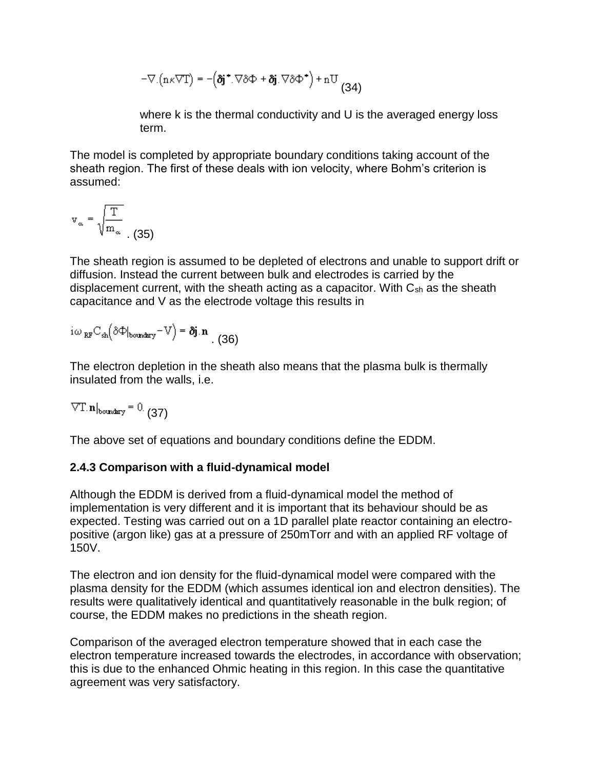$$
-\nabla \cdot (n \kappa \nabla T) = -(\delta j^* \cdot \nabla \delta \Phi + \delta j \cdot \nabla \delta \Phi^*) + nU
$$
(34)

where k is the thermal conductivity and U is the averaged energy loss term.

The model is completed by appropriate boundary conditions taking account of the sheath region. The first of these deals with ion velocity, where Bohm's criterion is assumed:

$$
v_{\infty} = \sqrt{\frac{T}{m_{\infty}}}
$$
 (35)

The sheath region is assumed to be depleted of electrons and unable to support drift or diffusion. Instead the current between bulk and electrodes is carried by the displacement current, with the sheath acting as a capacitor. With C<sub>sh</sub> as the sheath capacitance and V as the electrode voltage this results in

$$
i\omega_{RF}C_{sh}(\delta\Phi|_{boundary} - V) = \delta j.n \quad (36)
$$

The electron depletion in the sheath also means that the plasma bulk is thermally insulated from the walls, i.e.

 $\nabla$ T.  $\mathbf{n}|_{\text{boundary}} = 0$ . (37)

The above set of equations and boundary conditions define the EDDM.

# **2.4.3 Comparison with a fluid-dynamical model**

Although the EDDM is derived from a fluid-dynamical model the method of implementation is very different and it is important that its behaviour should be as expected. Testing was carried out on a 1D parallel plate reactor containing an electropositive (argon like) gas at a pressure of 250mTorr and with an applied RF voltage of 150V.

The electron and ion density for the fluid-dynamical model were compared with the plasma density for the EDDM (which assumes identical ion and electron densities). The results were qualitatively identical and quantitatively reasonable in the bulk region; of course, the EDDM makes no predictions in the sheath region.

Comparison of the averaged electron temperature showed that in each case the electron temperature increased towards the electrodes, in accordance with observation; this is due to the enhanced Ohmic heating in this region. In this case the quantitative agreement was very satisfactory.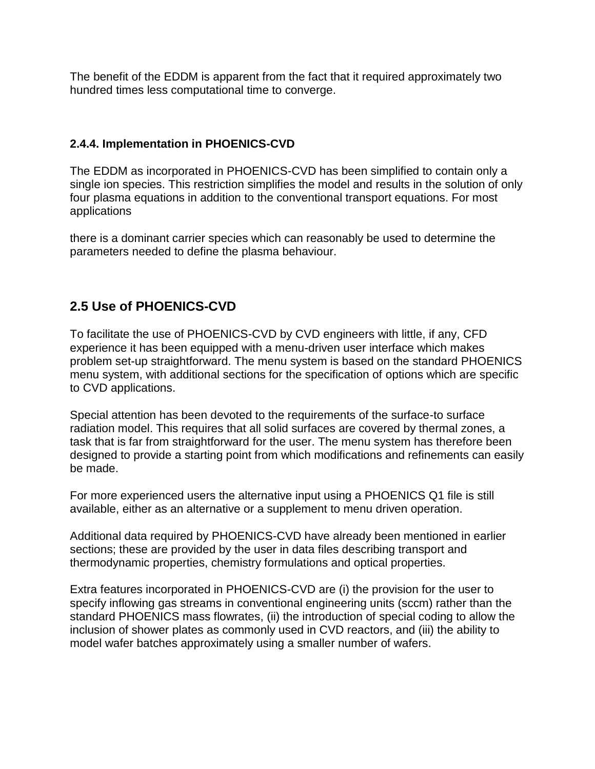The benefit of the EDDM is apparent from the fact that it required approximately two hundred times less computational time to converge.

## **2.4.4. Implementation in PHOENICS-CVD**

The EDDM as incorporated in PHOENICS-CVD has been simplified to contain only a single ion species. This restriction simplifies the model and results in the solution of only four plasma equations in addition to the conventional transport equations. For most applications

there is a dominant carrier species which can reasonably be used to determine the parameters needed to define the plasma behaviour.

# **2.5 Use of PHOENICS-CVD**

To facilitate the use of PHOENICS-CVD by CVD engineers with little, if any, CFD experience it has been equipped with a menu-driven user interface which makes problem set-up straightforward. The menu system is based on the standard PHOENICS menu system, with additional sections for the specification of options which are specific to CVD applications.

Special attention has been devoted to the requirements of the surface-to surface radiation model. This requires that all solid surfaces are covered by thermal zones, a task that is far from straightforward for the user. The menu system has therefore been designed to provide a starting point from which modifications and refinements can easily be made.

For more experienced users the alternative input using a PHOENICS Q1 file is still available, either as an alternative or a supplement to menu driven operation.

Additional data required by PHOENICS-CVD have already been mentioned in earlier sections; these are provided by the user in data files describing transport and thermodynamic properties, chemistry formulations and optical properties.

Extra features incorporated in PHOENICS-CVD are (i) the provision for the user to specify inflowing gas streams in conventional engineering units (sccm) rather than the standard PHOENICS mass flowrates, (ii) the introduction of special coding to allow the inclusion of shower plates as commonly used in CVD reactors, and (iii) the ability to model wafer batches approximately using a smaller number of wafers.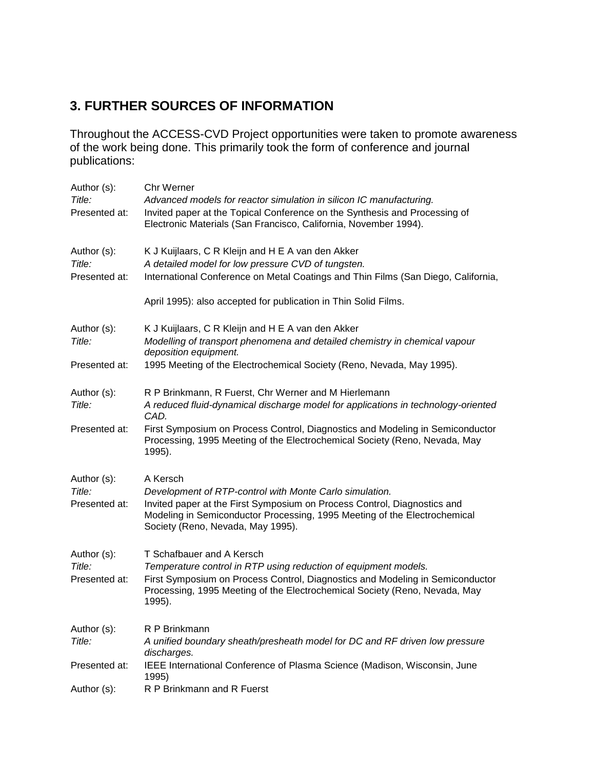# **3. FURTHER SOURCES OF INFORMATION**

Throughout the ACCESS-CVD Project opportunities were taken to promote awareness of the work being done. This primarily took the form of conference and journal publications:

| Author (s):<br>Title:   | Chr Werner<br>Advanced models for reactor simulation in silicon IC manufacturing.                                                                                     |
|-------------------------|-----------------------------------------------------------------------------------------------------------------------------------------------------------------------|
| Presented at:           | Invited paper at the Topical Conference on the Synthesis and Processing of<br>Electronic Materials (San Francisco, California, November 1994).                        |
| Author (s):<br>Title:   | K J Kuijlaars, C R Kleijn and H E A van den Akker<br>A detailed model for low pressure CVD of tungsten.                                                               |
| Presented at:           | International Conference on Metal Coatings and Thin Films (San Diego, California,                                                                                     |
|                         | April 1995): also accepted for publication in Thin Solid Films.                                                                                                       |
| Author (s):<br>Title:   | K J Kuijlaars, C R Kleijn and H E A van den Akker<br>Modelling of transport phenomena and detailed chemistry in chemical vapour                                       |
|                         | deposition equipment.                                                                                                                                                 |
| Presented at:           | 1995 Meeting of the Electrochemical Society (Reno, Nevada, May 1995).                                                                                                 |
| Author (s):             | R P Brinkmann, R Fuerst, Chr Werner and M Hierlemann                                                                                                                  |
| Title:                  | A reduced fluid-dynamical discharge model for applications in technology-oriented<br>CAD.                                                                             |
| Presented at:           | First Symposium on Process Control, Diagnostics and Modeling in Semiconductor<br>Processing, 1995 Meeting of the Electrochemical Society (Reno, Nevada, May<br>1995). |
| Author (s):             | A Kersch                                                                                                                                                              |
| Title:<br>Presented at: | Development of RTP-control with Monte Carlo simulation.<br>Invited paper at the First Symposium on Process Control, Diagnostics and                                   |
|                         | Modeling in Semiconductor Processing, 1995 Meeting of the Electrochemical<br>Society (Reno, Nevada, May 1995).                                                        |
| Author (s):<br>Title:   | T Schafbauer and A Kersch<br>Temperature control in RTP using reduction of equipment models.                                                                          |
| Presented at:           | First Symposium on Process Control, Diagnostics and Modeling in Semiconductor<br>Processing, 1995 Meeting of the Electrochemical Society (Reno, Nevada, May<br>1995). |
| Author (s):             | R P Brinkmann                                                                                                                                                         |
| Title:                  | A unified boundary sheath/presheath model for DC and RF driven low pressure<br>discharges.                                                                            |
| Presented at:           | IEEE International Conference of Plasma Science (Madison, Wisconsin, June<br>1995)                                                                                    |
| Author (s):             | R P Brinkmann and R Fuerst                                                                                                                                            |